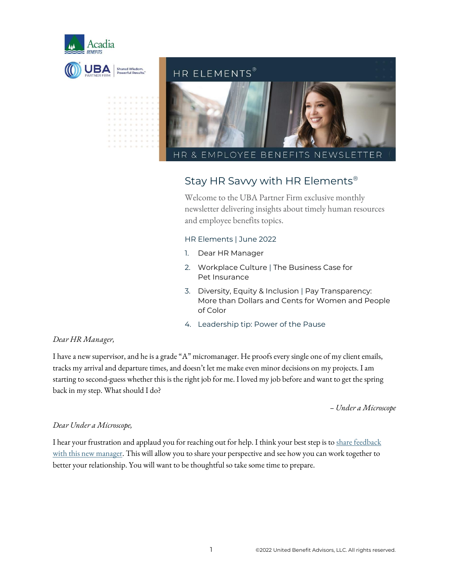



### Stay HR Savvy with HR Elements®

Welcome to the UBA Partner Firm exclusive monthly newsletter delivering insights about timely human resources and employee benefits topics.

#### HR Elements | June 2022

- 1. Dear HR Manager
- 2. Workplace Culture | The Business Case for Pet Insurance
- 3. Diversity, Equity & Inclusion | Pay Transparency: More than Dollars and Cents for Women and People of Color
- 4. Leadership tip: Power of the Pause

#### *Dear HR Manager,*

I have a new supervisor, and he is a grade "A" micromanager. He proofs every single one of my client emails, tracks my arrivaland departure times, and doesn't let me make even minor decisions on my projects. I am starting to second-guess whether this is the right job for me. I loved my job before and want to get the spring back in my step. What should I do?

*– Under a Microscope*

#### *Dear Under a Microscope,*

I hear your frustration and applaud you for reaching out for help. I think your best step is to share feedback [with this new manager.](https://www.forbes.com/sites/forbescoachescouncil/2020/09/11/13-diplomatic-ways-to-deal-with-a-micromanaging-boss/?sh=4599524967fe) This will allow you to share your perspective and see how you can work together to better your relationship. You will want to be thoughtful so take some time to prepare.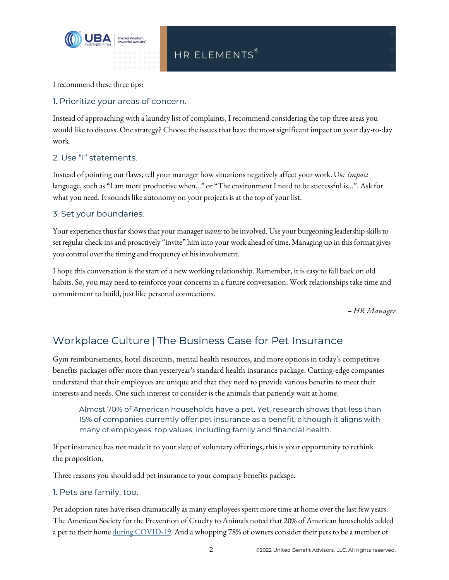

I recommend these three tips:

#### 1. Prioritize your areas of concern.

Instead of approaching with a laundry list of complaints, I recommend considering the top three areas you would like to discuss. One strategy? Choose the issues that have the most significant impact on your day-to-day work.

#### 2. Use "I" statements.

Instead of pointing out flaws, tell your manager how situations negatively affect your work. Use *impact* language, such as "I am more productive when…" or "The environment I need to be successful is…". Ask for what you need. It sounds like autonomy on your projects is at the top of your list.

#### 3. Set your boundaries.

Your experience thus far shows that your manager *wants* to be involved. Use your burgeoning leadership skills to set regular check-ins and proactively "invite" him into your work ahead of time. Managing up in this format gives you control over the timing and frequency of his involvement.

I hope this conversation is the start of a new working relationship. Remember, it is easy to fall back on old habits. So, you may need to reinforce your concerns in a future conversation. Work relationships take time and commitment to build, just like personal connections.

*– HR Manager*

## Workplace Culture | The Business Case for Pet Insurance

Gym reimbursements, hotel discounts, mental health resources, and more options in today's competitive benefits packages offer more than yesteryear's standard health insurance package. Cutting-edge companies understand that their employees are unique and that they need to provide various benefits to meet their interests and needs. One such interest to consider is the animals that patiently wait at home.

Almost 70% of American households have a pet. Yet, research shows that less than 15% of companies currently offer pet insurance as a benefit, although it aligns with many of employees' top values, including family and financial health.

If pet insurance has not made it to your slate of voluntary offerings, this is your opportunity to rethink the proposition.

Three reasons you should add pet insurance to your company benefits package.

1. Pets are family, too.

Pet adoption rates have risen dramatically as many employees spent more time at home over the last few years. The American Society for the Prevention of Cruelty to Animals noted that 20% of American households added a pet to their hom[e during COVID-19.](https://www.benefitnews.com/news/employees-are-demanding-pet-insurance-benefits-as-covid-19-continues) And a whopping 78% of owners consider their pets to be a member of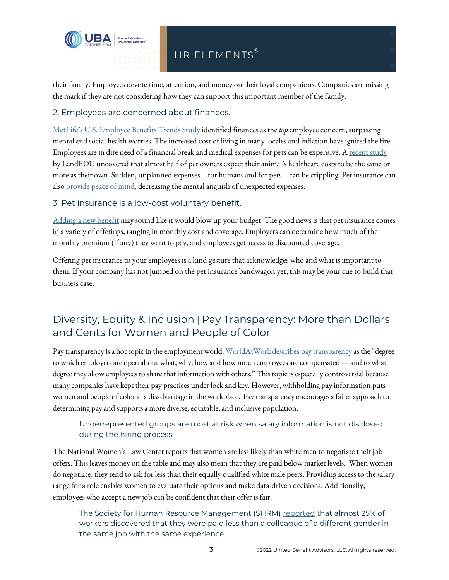

# HR ELEMENTS®

their family. Employees devote time, attention, and money on their loyal companions. Companies are missing the mark if they are not considering how they can support this important member of the family.

2. Employees are concerned about finances.

[MetLife's U.S. Employee Benefits Trends Study](https://www.metlife.com/employee-benefit-trends/2022-employee-benefit-trends/) identified finances as the *top* employee concern, surpassing mental and social health worries. The increased cost of living in many locales and inflation have ignited the fire. Employees are in dire need of a financial break and medical expenses for pets can be expensive. [A recent study](https://lendedu.com/blog/best-pet-insurance/) by LendEDU uncovered that almost half of pet owners expect their animal's healthcare costs to be the same or more as their own. Sudden, unplanned expenses – for humans and for pets – can be crippling. Pet insurance can als[o provide peace of mind,](https://www.propertycasualty360.com/2020/10/23/how-pet-insurance-promotes-employee-financial-wellness/?slreturn=20220414111754) decreasing the mental anguish of unexpected expenses.

3. Pet insurance is a low-cost voluntary benefit.

[Adding a new benefit](https://www.hrdive.com/news/could-employer-subsidized-pet-insurance-be-a-talent-lure/601544/) may sound like it would blow up your budget. The good news is that pet insurance comes in a variety of offerings, ranging in monthly cost and coverage. Employers can determine how much of the monthly premium (if any) they want to pay, and employees get access to discounted coverage.

Offering pet insurance to your employees is a kind gesture that acknowledges who and what is important to them. If your company has not jumped on the pet insurance bandwagon yet, this may be your cue to build that business case.

## Diversity, Equity & Inclusion | Pay Transparency: More than Dollars and Cents for Women and People of Color

Pay transparency is a hot topic in the employment world[. WorldAtWork describes pay transparency](https://www.mercer.us/content/dam/mercer/attachments/north-america/us/us-2022-the-case-for-pay-transparency.pdf) as the "degree to which employers are open about what, why, how and how much employees are compensated — and to what degree they allow employees to share that information with others." This topic is especially controversial because many companies have kept their pay practices under lock and key. However, withholding pay information puts women and people of color at a disadvantage in the workplace. Pay transparency encourages a fairer approach to determining pay and supports a more diverse, equitable, and inclusive population.

Underrepresented groups are most at risk when salary information is not disclosed during the hiring process.

The National Women's Law Center reports that women are less likely than white men to negotiate their job offers. This leaves money on the table and may also mean that they are paid below market levels. When women do negotiate, they tend to ask for less than their equally qualified white male peers. Providing access to the salary range for a role enables women to evaluate their options and make data-driven decisions. Additionally, employees who accept a new job can be confident that their offer is fair.

The Society for Human Resource Management (SHRM) [reported](https://www.shrm.org/resourcesandtools/hr-topics/compensation/pages/pay-equity-audits-and-transparency-foster-trust-shrm-research-shows.aspx) that almost 25% of workers discovered that they were paid less than a colleague of a different gender in the same job with the same experience.